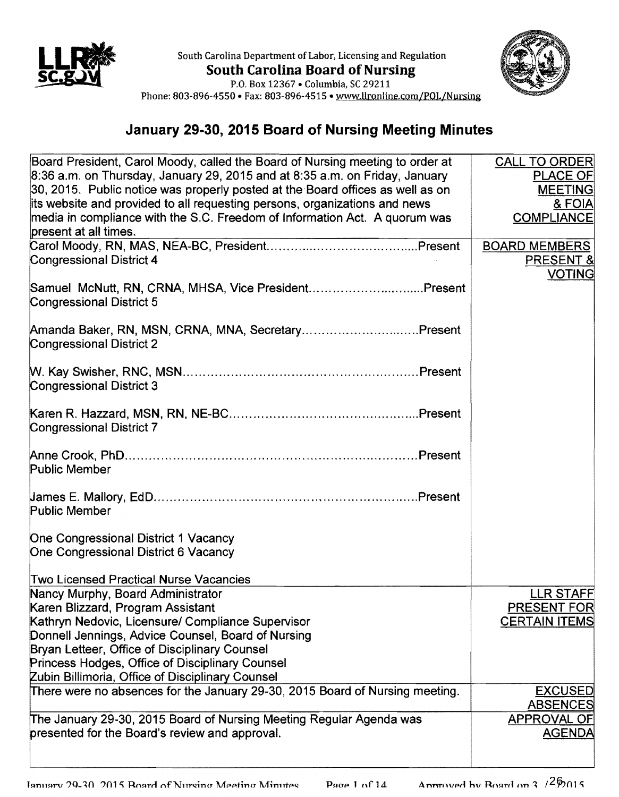



Phone: 803-896-4550 • Fax: 803-896-4515 • www.llronline.com/POL/Nursing

## January 29-30, 2015 Board of Nursing Meeting Minutes

| Board President, Carol Moody, called the Board of Nursing meeting to order at           | <b>CALL TO ORDER</b> |
|-----------------------------------------------------------------------------------------|----------------------|
| 8:36 a.m. on Thursday, January 29, 2015 and at 8:35 a.m. on Friday, January             | <b>PLACE OF</b>      |
| 30, 2015. Public notice was properly posted at the Board offices as well as on          | <b>MEETING</b>       |
| its website and provided to all requesting persons, organizations and news              | <b>&amp; FOIA</b>    |
| media in compliance with the S.C. Freedom of Information Act. A quorum was              | <b>COMPLIANCE</b>    |
| present at all times.                                                                   |                      |
|                                                                                         | <b>BOARD MEMBERS</b> |
| <b>Congressional District 4</b>                                                         | PRESENT &            |
|                                                                                         | <b>VOTING</b>        |
| Samuel McNutt, RN, CRNA, MHSA, Vice PresidentPresent<br><b>Congressional District 5</b> |                      |
|                                                                                         |                      |
| Amanda Baker, RN, MSN, CRNA, MNA, SecretaryPresent<br>Congressional District 2          |                      |
|                                                                                         |                      |
| <b>Congressional District 3</b>                                                         |                      |
|                                                                                         |                      |
| <b>Congressional District 7</b>                                                         |                      |
|                                                                                         |                      |
| <b>Public Member</b>                                                                    |                      |
|                                                                                         |                      |
| <b>Public Member</b>                                                                    |                      |
|                                                                                         |                      |
| One Congressional District 1 Vacancy<br>One Congressional District 6 Vacancy            |                      |
|                                                                                         |                      |
| <b>Two Licensed Practical Nurse Vacancies</b>                                           |                      |
| Nancy Murphy, Board Administrator                                                       | <b>LLR STAFF</b>     |
| Karen Blizzard, Program Assistant                                                       | <b>PRESENT FOR</b>   |
| Kathryn Nedovic, Licensure/ Compliance Supervisor                                       | <b>CERTAIN ITEMS</b> |
| Donnell Jennings, Advice Counsel, Board of Nursing                                      |                      |
| Bryan Letteer, Office of Disciplinary Counsel                                           |                      |
| Princess Hodges, Office of Disciplinary Counsel                                         |                      |
| Zubin Billimoria, Office of Disciplinary Counsel                                        |                      |
| There were no absences for the January 29-30, 2015 Board of Nursing meeting.            | <b>EXCUSED</b>       |
|                                                                                         | <b>ABSENCES</b>      |
| The January 29-30, 2015 Board of Nursing Meeting Regular Agenda was                     | <b>APPROVAL OF</b>   |
| presented for the Board's review and approval.                                          | <b>AGENDA</b>        |
|                                                                                         |                      |
|                                                                                         |                      |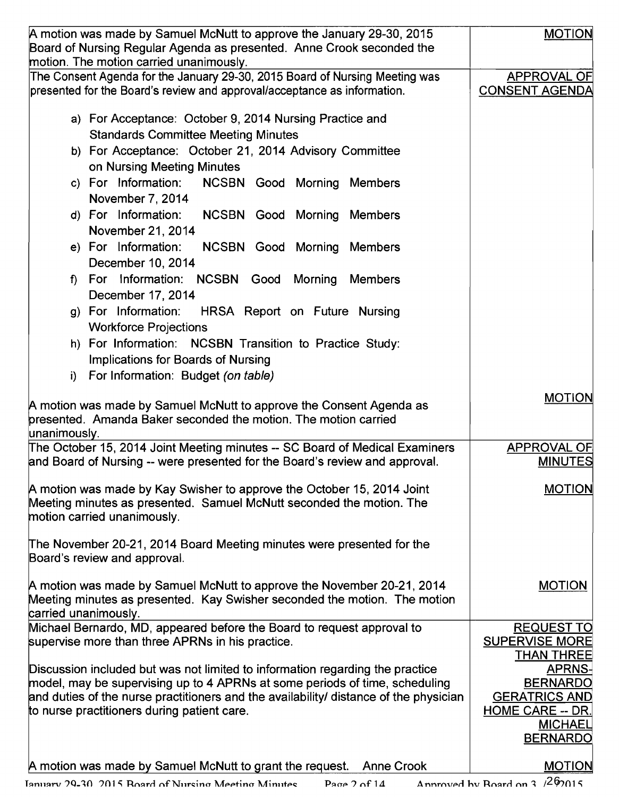| A motion was made by Samuel McNutt to approve the January 29-30, 2015                                                                                   | <b>MOTION</b>                               |
|---------------------------------------------------------------------------------------------------------------------------------------------------------|---------------------------------------------|
| Board of Nursing Regular Agenda as presented. Anne Crook seconded the                                                                                   |                                             |
| motion. The motion carried unanimously.                                                                                                                 |                                             |
| The Consent Agenda for the January 29-30, 2015 Board of Nursing Meeting was<br>presented for the Board's review and approval/acceptance as information. | <b>APPROVAL OF</b><br><b>CONSENT AGENDA</b> |
|                                                                                                                                                         |                                             |
| a) For Acceptance: October 9, 2014 Nursing Practice and                                                                                                 |                                             |
| <b>Standards Committee Meeting Minutes</b>                                                                                                              |                                             |
| b) For Acceptance: October 21, 2014 Advisory Committee                                                                                                  |                                             |
| on Nursing Meeting Minutes                                                                                                                              |                                             |
| c) For Information:<br>NCSBN Good Morning Members                                                                                                       |                                             |
| November 7, 2014                                                                                                                                        |                                             |
| d) For Information:<br><b>NCSBN Good Morning Members</b>                                                                                                |                                             |
| November 21, 2014                                                                                                                                       |                                             |
| e) For Information:<br><b>NCSBN Good Morning</b><br>Members                                                                                             |                                             |
| December 10, 2014                                                                                                                                       |                                             |
| For Information: NCSBN Good<br>Morning<br><b>Members</b><br>$\mathbf{f}$                                                                                |                                             |
| December 17, 2014                                                                                                                                       |                                             |
| g) For Information:<br>HRSA Report on Future Nursing                                                                                                    |                                             |
| <b>Workforce Projections</b>                                                                                                                            |                                             |
| h) For Information: NCSBN Transition to Practice Study:                                                                                                 |                                             |
| Implications for Boards of Nursing                                                                                                                      |                                             |
| For Information: Budget (on table)<br>i)                                                                                                                |                                             |
|                                                                                                                                                         | <b>MOTION</b>                               |
| A motion was made by Samuel McNutt to approve the Consent Agenda as<br>presented. Amanda Baker seconded the motion. The motion carried                  |                                             |
| unanimously.                                                                                                                                            |                                             |
| The October 15, 2014 Joint Meeting minutes -- SC Board of Medical Examiners                                                                             | APPROVAL OF                                 |
| and Board of Nursing -- were presented for the Board's review and approval.                                                                             | <b>MINUTES</b>                              |
|                                                                                                                                                         |                                             |
| A motion was made by Kay Swisher to approve the October 15, 2014 Joint                                                                                  | <b>MOTION</b>                               |
| Meeting minutes as presented. Samuel McNutt seconded the motion. The<br>motion carried unanimously.                                                     |                                             |
|                                                                                                                                                         |                                             |
| The November 20-21, 2014 Board Meeting minutes were presented for the                                                                                   |                                             |
| Board's review and approval.                                                                                                                            |                                             |
|                                                                                                                                                         |                                             |
| A motion was made by Samuel McNutt to approve the November 20-21, 2014                                                                                  | <b>MOTION</b>                               |
| Meeting minutes as presented. Kay Swisher seconded the motion. The motion<br>carried unanimously.                                                       |                                             |
| Michael Bernardo, MD, appeared before the Board to request approval to                                                                                  | <b>REQUEST TO</b>                           |
| supervise more than three APRNs in his practice.                                                                                                        | <b>SUPERVISE MORE</b>                       |
|                                                                                                                                                         | <b>THAN THREE</b>                           |
| Discussion included but was not limited to information regarding the practice                                                                           | <b>APRNS-</b>                               |
| model, may be supervising up to 4 APRNs at some periods of time, scheduling                                                                             | <b>BERNARDO</b>                             |
| and duties of the nurse practitioners and the availability/ distance of the physician                                                                   | <b>GERATRICS AND</b>                        |
| to nurse practitioners during patient care.                                                                                                             | <b>HOME CARE -- DR.</b><br><b>MICHAEL</b>   |
|                                                                                                                                                         | <b>BERNARDO</b>                             |
|                                                                                                                                                         |                                             |
| A motion was made by Samuel McNutt to grant the request.<br><b>Anne Crook</b>                                                                           | <b>MOTION</b>                               |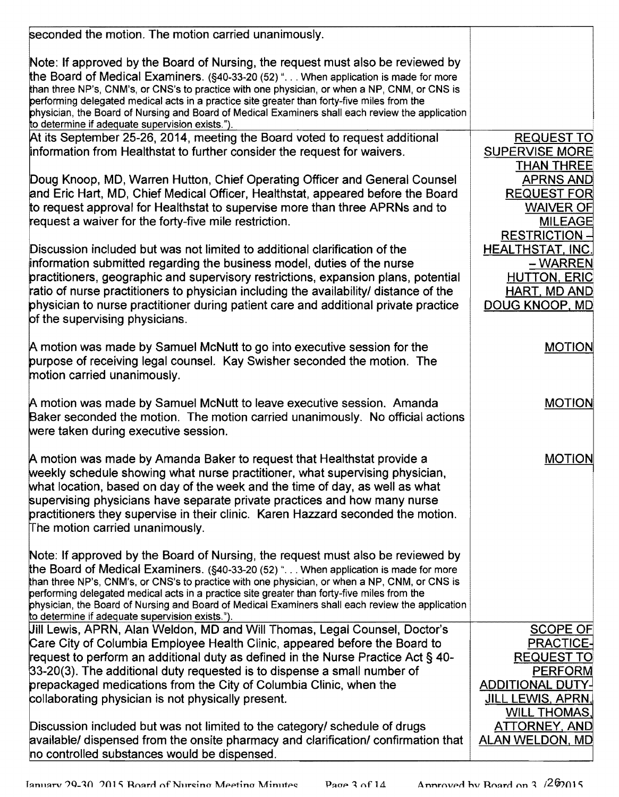| seconded the motion. The motion carried unanimously.                                                                                                                                                                                                                                                                                                                                                                                                                                                                           |                                                                                                                          |
|--------------------------------------------------------------------------------------------------------------------------------------------------------------------------------------------------------------------------------------------------------------------------------------------------------------------------------------------------------------------------------------------------------------------------------------------------------------------------------------------------------------------------------|--------------------------------------------------------------------------------------------------------------------------|
|                                                                                                                                                                                                                                                                                                                                                                                                                                                                                                                                |                                                                                                                          |
| Note: If approved by the Board of Nursing, the request must also be reviewed by<br>the Board of Medical Examiners. (§40-33-20 (52) " When application is made for more<br>than three NP's, CNM's, or CNS's to practice with one physician, or when a NP, CNM, or CNS is<br>performing delegated medical acts in a practice site greater than forty-five miles from the<br>physician, the Board of Nursing and Board of Medical Examiners shall each review the application<br>to determine if adequate supervision exists.").  |                                                                                                                          |
| At its September 25-26, 2014, meeting the Board voted to request additional<br>information from Healthstat to further consider the request for waivers.                                                                                                                                                                                                                                                                                                                                                                        | <b>REQUEST TO</b><br><b>SUPERVISE MORE</b>                                                                               |
| Doug Knoop, MD, Warren Hutton, Chief Operating Officer and General Counsel<br>and Eric Hart, MD, Chief Medical Officer, Healthstat, appeared before the Board<br>to request approval for Healthstat to supervise more than three APRNs and to<br>request a waiver for the forty-five mile restriction.                                                                                                                                                                                                                         | <b>THAN THREE</b><br><b>APRNS AND</b><br><b>REQUEST FOR</b><br><b>WAIVER OF</b><br><b>MILEAGE</b><br><b>RESTRICTION-</b> |
| Discussion included but was not limited to additional clarification of the<br>information submitted regarding the business model, duties of the nurse<br>practitioners, geographic and supervisory restrictions, expansion plans, potential<br>ratio of nurse practitioners to physician including the availability/ distance of the<br>physician to nurse practitioner during patient care and additional private practice<br>of the supervising physicians.                                                                  | <b>HEALTHSTAT, INC.</b><br>-WARREN<br><b>HUTTON, ERIC</b><br>HART, MD AND<br>DOUG KNOOP, MD                              |
| A motion was made by Samuel McNutt to go into executive session for the<br>purpose of receiving legal counsel. Kay Swisher seconded the motion. The<br>motion carried unanimously.                                                                                                                                                                                                                                                                                                                                             | <b>MOTION</b>                                                                                                            |
| A motion was made by Samuel McNutt to leave executive session. Amanda<br>Baker seconded the motion. The motion carried unanimously. No official actions<br>were taken during executive session.                                                                                                                                                                                                                                                                                                                                | <b>MOTION</b>                                                                                                            |
| A motion was made by Amanda Baker to request that Healthstat provide a<br>weekly schedule showing what nurse practitioner, what supervising physician.<br>what location, based on day of the week and the time of day, as well as what<br>supervising physicians have separate private practices and how many nurse<br>practitioners they supervise in their clinic. Karen Hazzard seconded the motion.<br>The motion carried unanimously.                                                                                     | <b>MOTION</b>                                                                                                            |
| Note: If approved by the Board of Nursing, the request must also be reviewed by<br>the Board of Medical Examiners. (§40-33-20 (52) ". When application is made for more<br>than three NP's, CNM's, or CNS's to practice with one physician, or when a NP, CNM, or CNS is<br>performing delegated medical acts in a practice site greater than forty-five miles from the<br>physician, the Board of Nursing and Board of Medical Examiners shall each review the application<br>to determine if adequate supervision exists."). |                                                                                                                          |
| Uill Lewis, APRN, Alan Weldon, MD and Will Thomas, Legal Counsel, Doctor's<br>Care City of Columbia Employee Health Clinic, appeared before the Board to<br>request to perform an additional duty as defined in the Nurse Practice Act § 40-                                                                                                                                                                                                                                                                                   | <b>SCOPE OF</b><br><b>PRACTICE-</b><br><b>REQUEST TO</b>                                                                 |
| 33-20(3). The additional duty requested is to dispense a small number of<br>prepackaged medications from the City of Columbia Clinic, when the<br>collaborating physician is not physically present.                                                                                                                                                                                                                                                                                                                           | <b>PERFORM</b><br><b>ADDITIONAL DUTY-</b><br><b>JILL LEWIS, APRN,</b><br><b>WILL THOMAS,</b>                             |
| Discussion included but was not limited to the category/ schedule of drugs<br>available/ dispensed from the onsite pharmacy and clarification/ confirmation that<br>no controlled substances would be dispensed.                                                                                                                                                                                                                                                                                                               | <b>ATTORNEY, AND</b><br><b>ALAN WELDON, MD</b>                                                                           |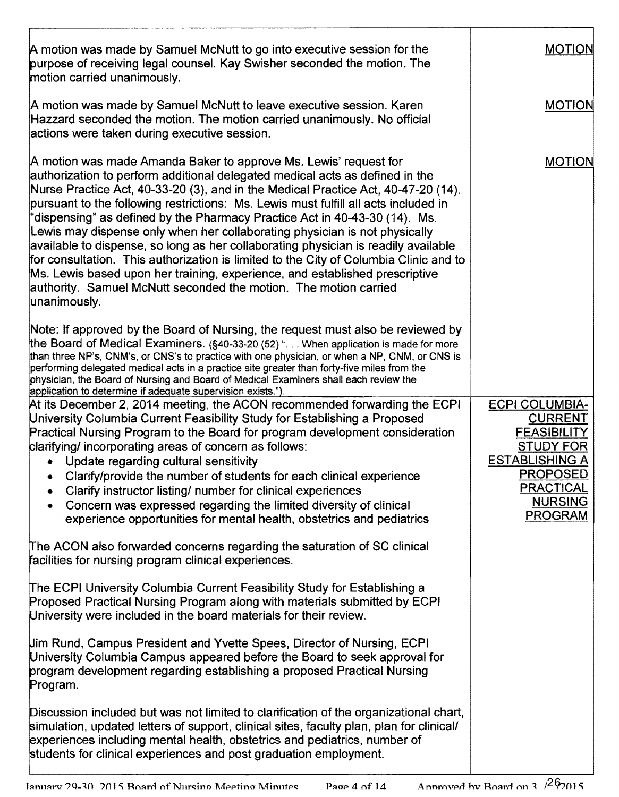| A motion was made by Samuel McNutt to go into executive session for the<br>purpose of receiving legal counsel. Kay Swisher seconded the motion. The<br>motion carried unanimously.                                                                                                                                                                                                                                                                                                                                                                                                                                                                                                                                                                                                                                                         | <b>MOTION</b>                                                                                                                                                                         |
|--------------------------------------------------------------------------------------------------------------------------------------------------------------------------------------------------------------------------------------------------------------------------------------------------------------------------------------------------------------------------------------------------------------------------------------------------------------------------------------------------------------------------------------------------------------------------------------------------------------------------------------------------------------------------------------------------------------------------------------------------------------------------------------------------------------------------------------------|---------------------------------------------------------------------------------------------------------------------------------------------------------------------------------------|
| A motion was made by Samuel McNutt to leave executive session. Karen<br>Hazzard seconded the motion. The motion carried unanimously. No official<br>actions were taken during executive session.                                                                                                                                                                                                                                                                                                                                                                                                                                                                                                                                                                                                                                           | <b>MOTION</b>                                                                                                                                                                         |
| A motion was made Amanda Baker to approve Ms. Lewis' request for<br>authorization to perform additional delegated medical acts as defined in the<br>Nurse Practice Act, 40-33-20 (3), and in the Medical Practice Act, 40-47-20 (14).<br>pursuant to the following restrictions: Ms. Lewis must fulfill all acts included in<br>"dispensing" as defined by the Pharmacy Practice Act in 40-43-30 (14). Ms.<br>Lewis may dispense only when her collaborating physician is not physically<br>available to dispense, so long as her collaborating physician is readily available<br>for consultation. This authorization is limited to the City of Columbia Clinic and to<br>Ms. Lewis based upon her training, experience, and established prescriptive<br>authority. Samuel McNutt seconded the motion. The motion carried<br>unanimously. | <b>MOTION</b>                                                                                                                                                                         |
| Note: If approved by the Board of Nursing, the request must also be reviewed by<br>the Board of Medical Examiners. (§40-33-20 (52) " When application is made for more<br>than three NP's, CNM's, or CNS's to practice with one physician, or when a NP, CNM, or CNS is<br>performing delegated medical acts in a practice site greater than forty-five miles from the<br>physician, the Board of Nursing and Board of Medical Examiners shall each review the<br>application to determine if adequate supervision exists.").                                                                                                                                                                                                                                                                                                              |                                                                                                                                                                                       |
| At its December 2, 2014 meeting, the ACON recommended forwarding the ECPI<br>University Columbia Current Feasibility Study for Establishing a Proposed<br>Practical Nursing Program to the Board for program development consideration<br>clarifying/ incorporating areas of concern as follows:<br>Update regarding cultural sensitivity<br>$\bullet$<br>• Clarify/provide the number of students for each clinical experience<br>Clarify instructor listing/ number for clinical experiences<br>Concern was expressed regarding the limited diversity of clinical<br>experience opportunities for mental health, obstetrics and pediatrics                                                                                                                                                                                               | <b>ECPI COLUMBIA-</b><br><b>CURRENT</b><br><b>FEASIBILITY</b><br><b>STUDY FOR</b><br><b>ESTABLISHING A</b><br><b>PROPOSED</b><br><b>PRACTICAL</b><br><b>NURSING</b><br><b>PROGRAM</b> |
| The ACON also forwarded concerns regarding the saturation of SC clinical<br>facilities for nursing program clinical experiences.                                                                                                                                                                                                                                                                                                                                                                                                                                                                                                                                                                                                                                                                                                           |                                                                                                                                                                                       |
| The ECPI University Columbia Current Feasibility Study for Establishing a<br>Proposed Practical Nursing Program along with materials submitted by ECPI<br>University were included in the board materials for their review.                                                                                                                                                                                                                                                                                                                                                                                                                                                                                                                                                                                                                |                                                                                                                                                                                       |
| Um Rund, Campus President and Yvette Spees, Director of Nursing, ECPI<br>University Columbia Campus appeared before the Board to seek approval for<br>program development regarding establishing a proposed Practical Nursing<br>Program.                                                                                                                                                                                                                                                                                                                                                                                                                                                                                                                                                                                                  |                                                                                                                                                                                       |
| Discussion included but was not limited to clarification of the organizational chart,<br>simulation, updated letters of support, clinical sites, faculty plan, plan for clinical/<br>experiences including mental health, obstetrics and pediatrics, number of<br>students for clinical experiences and post graduation employment.                                                                                                                                                                                                                                                                                                                                                                                                                                                                                                        |                                                                                                                                                                                       |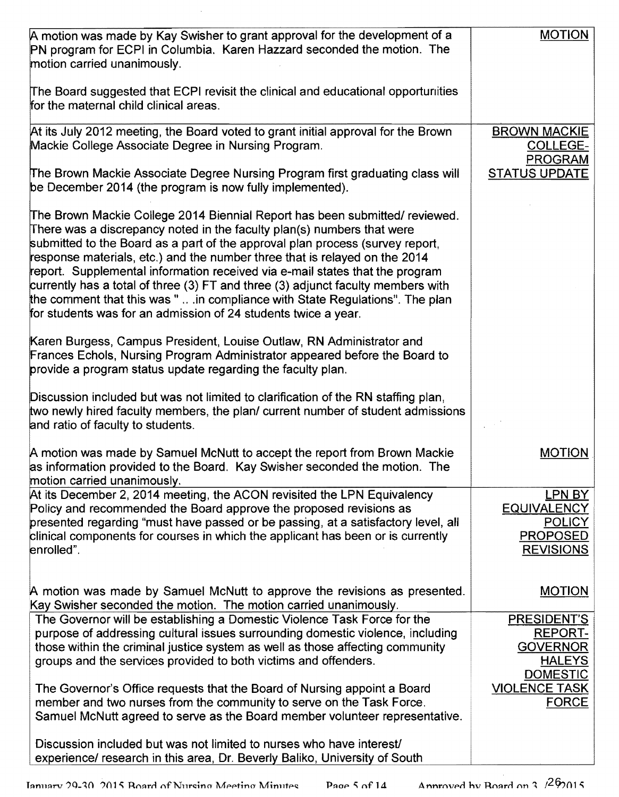| A motion was made by Kay Swisher to grant approval for the development of a<br>PN program for ECPI in Columbia. Karen Hazzard seconded the motion. The<br>motion carried unanimously.                                                                                                                                                                                                                                                                                                                                                                                                                                                      | <b>MOTION</b>                                                                               |
|--------------------------------------------------------------------------------------------------------------------------------------------------------------------------------------------------------------------------------------------------------------------------------------------------------------------------------------------------------------------------------------------------------------------------------------------------------------------------------------------------------------------------------------------------------------------------------------------------------------------------------------------|---------------------------------------------------------------------------------------------|
| The Board suggested that ECPI revisit the clinical and educational opportunities<br>for the maternal child clinical areas.                                                                                                                                                                                                                                                                                                                                                                                                                                                                                                                 |                                                                                             |
| At its July 2012 meeting, the Board voted to grant initial approval for the Brown<br>Mackie College Associate Degree in Nursing Program.                                                                                                                                                                                                                                                                                                                                                                                                                                                                                                   | <b>BROWN MACKIE</b><br><b>COLLEGE-</b><br><b>PROGRAM</b>                                    |
| The Brown Mackie Associate Degree Nursing Program first graduating class will<br>be December 2014 (the program is now fully implemented).                                                                                                                                                                                                                                                                                                                                                                                                                                                                                                  | <b>STATUS UPDATE</b>                                                                        |
| The Brown Mackie College 2014 Biennial Report has been submitted/ reviewed.<br>There was a discrepancy noted in the faculty plan(s) numbers that were<br>submitted to the Board as a part of the approval plan process (survey report,<br>response materials, etc.) and the number three that is relayed on the 2014<br>report. Supplemental information received via e-mail states that the program<br>currently has a total of three (3) FT and three (3) adjunct faculty members with<br>the comment that this was "  in compliance with State Regulations". The plan<br>for students was for an admission of 24 students twice a year. |                                                                                             |
| Karen Burgess, Campus President, Louise Outlaw, RN Administrator and<br>Frances Echols, Nursing Program Administrator appeared before the Board to<br>provide a program status update regarding the faculty plan.                                                                                                                                                                                                                                                                                                                                                                                                                          |                                                                                             |
| Discussion included but was not limited to clarification of the RN staffing plan,<br>two newly hired faculty members, the plan/ current number of student admissions<br>and ratio of faculty to students.                                                                                                                                                                                                                                                                                                                                                                                                                                  |                                                                                             |
| A motion was made by Samuel McNutt to accept the report from Brown Mackie<br>as information provided to the Board. Kay Swisher seconded the motion. The<br>motion carried unanimously.                                                                                                                                                                                                                                                                                                                                                                                                                                                     | <b>MOTION</b>                                                                               |
| At its December 2, 2014 meeting, the ACON revisited the LPN Equivalency<br>Policy and recommended the Board approve the proposed revisions as<br>presented regarding "must have passed or be passing, at a satisfactory level, all<br>clinical components for courses in which the applicant has been or is currently<br>enrolled".                                                                                                                                                                                                                                                                                                        | LPN BY<br><b>EQUIVALENCY</b><br><b>POLICY</b><br><b>PROPOSED</b><br><b>REVISIONS</b>        |
| A motion was made by Samuel McNutt to approve the revisions as presented.<br>Kay Swisher seconded the motion. The motion carried unanimously.                                                                                                                                                                                                                                                                                                                                                                                                                                                                                              | <b>MOTION</b>                                                                               |
| The Governor will be establishing a Domestic Violence Task Force for the<br>purpose of addressing cultural issues surrounding domestic violence, including<br>those within the criminal justice system as well as those affecting community<br>groups and the services provided to both victims and offenders.                                                                                                                                                                                                                                                                                                                             | <b>PRESIDENT'S</b><br><b>REPORT-</b><br><b>GOVERNOR</b><br><b>HALEYS</b><br><b>DOMESTIC</b> |
| The Governor's Office requests that the Board of Nursing appoint a Board<br>member and two nurses from the community to serve on the Task Force.<br>Samuel McNutt agreed to serve as the Board member volunteer representative.                                                                                                                                                                                                                                                                                                                                                                                                            | <b>VIOLENCE TASK</b><br><b>FORCE</b>                                                        |
| Discussion included but was not limited to nurses who have interest<br>experience/ research in this area, Dr. Beverly Baliko, University of South                                                                                                                                                                                                                                                                                                                                                                                                                                                                                          |                                                                                             |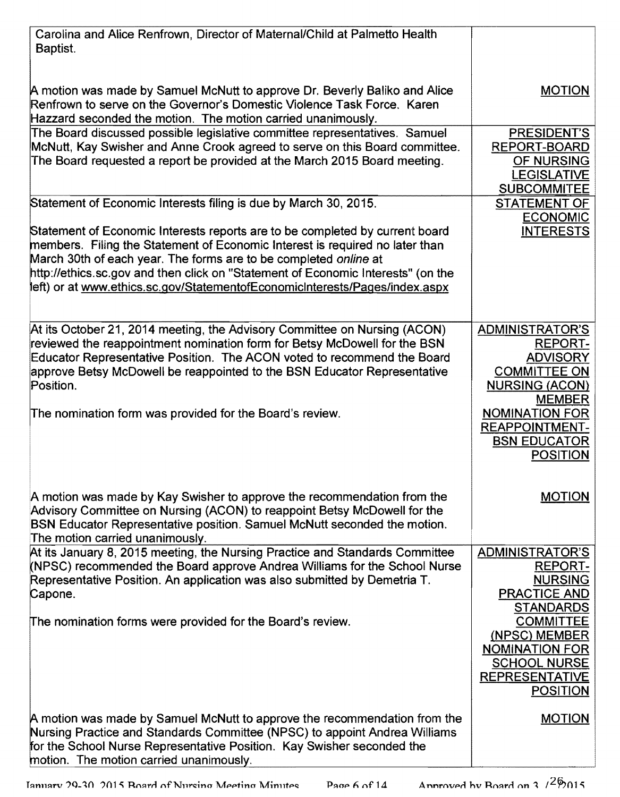| Carolina and Alice Renfrown, Director of Maternal/Child at Palmetto Health<br>Baptist.                                                                                                                                                                                                                                                                                                              |                                                                                                                               |
|-----------------------------------------------------------------------------------------------------------------------------------------------------------------------------------------------------------------------------------------------------------------------------------------------------------------------------------------------------------------------------------------------------|-------------------------------------------------------------------------------------------------------------------------------|
| A motion was made by Samuel McNutt to approve Dr. Beverly Baliko and Alice<br>Renfrown to serve on the Governor's Domestic Violence Task Force. Karen<br>Hazzard seconded the motion. The motion carried unanimously.                                                                                                                                                                               | <b>MOTION</b>                                                                                                                 |
| The Board discussed possible legislative committee representatives. Samuel<br>McNutt, Kay Swisher and Anne Crook agreed to serve on this Board committee.<br>The Board requested a report be provided at the March 2015 Board meeting.                                                                                                                                                              | PRESIDENT'S<br><b>REPORT-BOARD</b><br>OF NURSING<br><b>LEGISLATIVE</b><br><b>SUBCOMMITEE</b>                                  |
| Statement of Economic Interests filing is due by March 30, 2015.                                                                                                                                                                                                                                                                                                                                    | <b>STATEMENT OF</b><br><b>ECONOMIC</b>                                                                                        |
| Statement of Economic Interests reports are to be completed by current board<br>members. Filing the Statement of Economic Interest is required no later than<br>March 30th of each year. The forms are to be completed online at<br>http://ethics.sc.gov and then click on "Statement of Economic Interests" (on the<br>left) or at www.ethics.sc.gov/StatementofEconomicInterests/Pages/index.aspx | <b>INTERESTS</b>                                                                                                              |
| At its October 21, 2014 meeting, the Advisory Committee on Nursing (ACON)<br>reviewed the reappointment nomination form for Betsy McDowell for the BSN<br>Educator Representative Position. The ACON voted to recommend the Board<br>approve Betsy McDowell be reappointed to the BSN Educator Representative<br>Position.                                                                          | <b>ADMINISTRATOR'S</b><br><b>REPORT-</b><br><b>ADVISORY</b><br><b>COMMITTEE ON</b><br><b>NURSING (ACON)</b><br><b>MEMBER</b>  |
| The nomination form was provided for the Board's review.                                                                                                                                                                                                                                                                                                                                            | <b>NOMINATION FOR</b><br><b>REAPPOINTMENT-</b><br><b>BSN EDUCATOR</b><br><b>POSITION</b>                                      |
| A motion was made by Kay Swisher to approve the recommendation from the<br>Advisory Committee on Nursing (ACON) to reappoint Betsy McDowell for the<br>BSN Educator Representative position. Samuel McNutt seconded the motion.<br>The motion carried unanimously.                                                                                                                                  | <b>MOTION</b>                                                                                                                 |
| At its January 8, 2015 meeting, the Nursing Practice and Standards Committee<br>(NPSC) recommended the Board approve Andrea Williams for the School Nurse<br>Representative Position. An application was also submitted by Demetria T.<br>Capone.                                                                                                                                                   | <b>ADMINISTRATOR'S</b><br><b>REPORT-</b><br><b>NURSING</b><br><b>PRACTICE AND</b><br><b>STANDARDS</b>                         |
| The nomination forms were provided for the Board's review.                                                                                                                                                                                                                                                                                                                                          | <b>COMMITTEE</b><br>(NPSC) MEMBER<br><b>NOMINATION FOR</b><br><b>SCHOOL NURSE</b><br><b>REPRESENTATIVE</b><br><b>POSITION</b> |
| A motion was made by Samuel McNutt to approve the recommendation from the<br>Nursing Practice and Standards Committee (NPSC) to appoint Andrea Williams<br>for the School Nurse Representative Position. Kay Swisher seconded the<br>motion. The motion carried unanimously.                                                                                                                        | <b>MOTION</b>                                                                                                                 |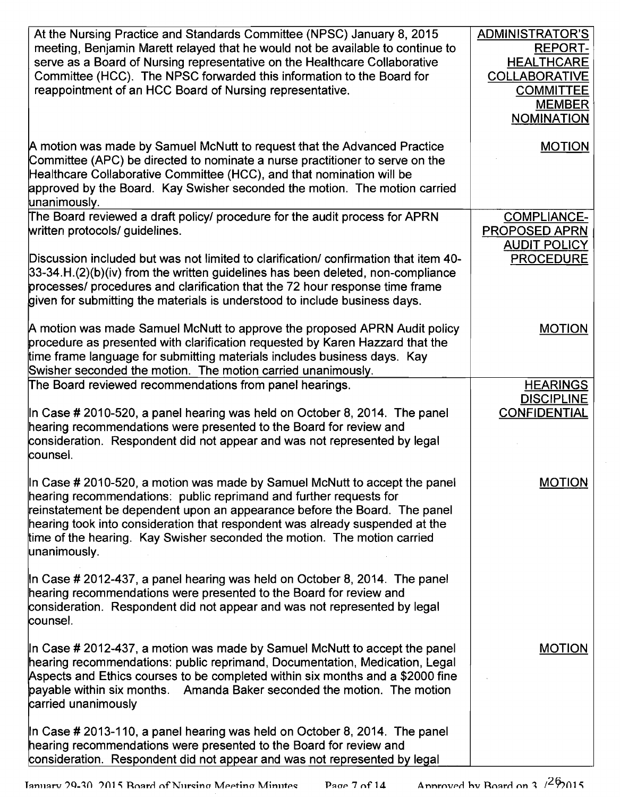| At the Nursing Practice and Standards Committee (NPSC) January 8, 2015<br>meeting, Benjamin Marett relayed that he would not be available to continue to<br>serve as a Board of Nursing representative on the Healthcare Collaborative                                                                                                                                                                    | <b>ADMINISTRATOR'S</b><br><b>REPORT-</b><br><b>HEALTHCARE</b>                  |
|-----------------------------------------------------------------------------------------------------------------------------------------------------------------------------------------------------------------------------------------------------------------------------------------------------------------------------------------------------------------------------------------------------------|--------------------------------------------------------------------------------|
| Committee (HCC). The NPSC forwarded this information to the Board for<br>reappointment of an HCC Board of Nursing representative.                                                                                                                                                                                                                                                                         | <b>COLLABORATIVE</b><br><b>COMMITTEE</b><br><b>MEMBER</b><br><b>NOMINATION</b> |
| A motion was made by Samuel McNutt to request that the Advanced Practice<br>Committee (APC) be directed to nominate a nurse practitioner to serve on the<br>Healthcare Collaborative Committee (HCC), and that nomination will be<br>approved by the Board. Kay Swisher seconded the motion. The motion carried<br>unanimously.                                                                           | <b>MOTION</b>                                                                  |
| The Board reviewed a draft policy/ procedure for the audit process for APRN<br>written protocols/ guidelines.                                                                                                                                                                                                                                                                                             | <b>COMPLIANCE-</b><br><b>PROPOSED APRN</b><br><b>AUDIT POLICY</b>              |
| Discussion included but was not limited to clarification/ confirmation that item 40-<br>$33-34.H.(2)(b)(iv)$ from the written guidelines has been deleted, non-compliance<br>processes/ procedures and clarification that the 72 hour response time frame<br>given for submitting the materials is understood to include business days.                                                                   | <b>PROCEDURE</b>                                                               |
| A motion was made Samuel McNutt to approve the proposed APRN Audit policy<br>procedure as presented with clarification requested by Karen Hazzard that the<br>time frame language for submitting materials includes business days. Kay<br>Swisher seconded the motion. The motion carried unanimously.                                                                                                    | <b>MOTION</b>                                                                  |
| The Board reviewed recommendations from panel hearings.                                                                                                                                                                                                                                                                                                                                                   | <b>HEARINGS</b><br><b>DISCIPLINE</b>                                           |
| In Case # 2010-520, a panel hearing was held on October 8, 2014. The panel<br>hearing recommendations were presented to the Board for review and<br>consideration. Respondent did not appear and was not represented by legal<br>counsel.                                                                                                                                                                 | <b>CONFIDENTIAL</b>                                                            |
| In Case # 2010-520, a motion was made by Samuel McNutt to accept the panel<br>hearing recommendations: public reprimand and further requests for<br>reinstatement be dependent upon an appearance before the Board. The panel<br>hearing took into consideration that respondent was already suspended at the<br>time of the hearing. Kay Swisher seconded the motion. The motion carried<br>unanimously. | <b>MOTION</b>                                                                  |
| In Case # 2012-437, a panel hearing was held on October 8, 2014. The panel<br>hearing recommendations were presented to the Board for review and<br>consideration. Respondent did not appear and was not represented by legal<br>counsel.                                                                                                                                                                 |                                                                                |
| In Case # 2012-437, a motion was made by Samuel McNutt to accept the panel<br>hearing recommendations: public reprimand, Documentation, Medication, Legal<br>Aspects and Ethics courses to be completed within six months and a \$2000 fine<br>payable within six months. Amanda Baker seconded the motion. The motion<br>carried unanimously                                                             | <b>MOTION</b>                                                                  |
| In Case # 2013-110, a panel hearing was held on October 8, 2014. The panel<br>hearing recommendations were presented to the Board for review and<br>consideration. Respondent did not appear and was not represented by legal                                                                                                                                                                             |                                                                                |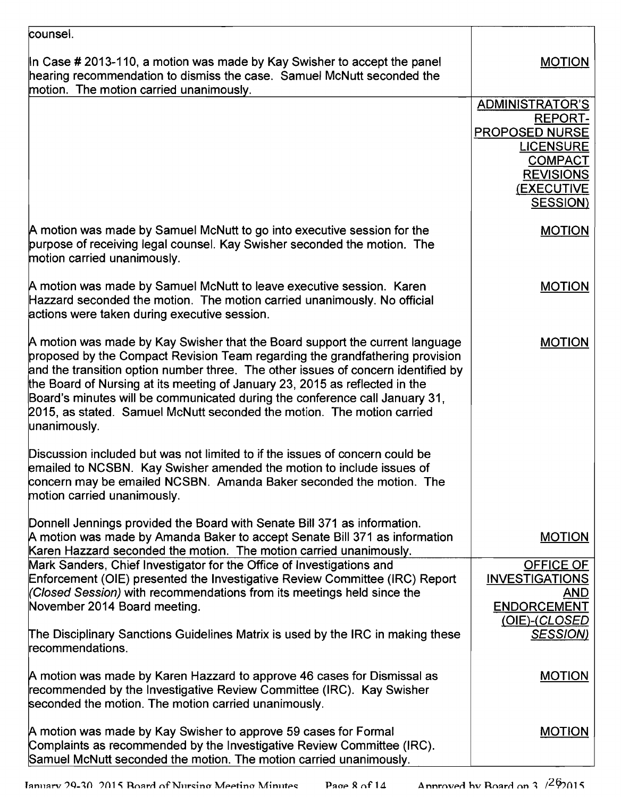| counsel.                                                                                                                                                                                                                                                                                                                                                                                                                                                                                                  |                                                                                         |
|-----------------------------------------------------------------------------------------------------------------------------------------------------------------------------------------------------------------------------------------------------------------------------------------------------------------------------------------------------------------------------------------------------------------------------------------------------------------------------------------------------------|-----------------------------------------------------------------------------------------|
| In Case # 2013-110, a motion was made by Kay Swisher to accept the panel<br>hearing recommendation to dismiss the case. Samuel McNutt seconded the<br>motion. The motion carried unanimously.                                                                                                                                                                                                                                                                                                             | <b>MOTION</b>                                                                           |
|                                                                                                                                                                                                                                                                                                                                                                                                                                                                                                           | <b>ADMINISTRATOR'S</b><br><b>REPORT-</b>                                                |
|                                                                                                                                                                                                                                                                                                                                                                                                                                                                                                           | PROPOSED NURSE<br><b>LICENSURE</b><br><b>COMPACT</b><br><b>REVISIONS</b>                |
|                                                                                                                                                                                                                                                                                                                                                                                                                                                                                                           | <b>(EXECUTIVE</b><br><b>SESSION</b> )                                                   |
| A motion was made by Samuel McNutt to go into executive session for the<br>purpose of receiving legal counsel. Kay Swisher seconded the motion. The<br>motion carried unanimously.                                                                                                                                                                                                                                                                                                                        | <b>MOTION</b>                                                                           |
| A motion was made by Samuel McNutt to leave executive session. Karen<br>Hazzard seconded the motion. The motion carried unanimously. No official<br>actions were taken during executive session.                                                                                                                                                                                                                                                                                                          | <b>MOTION</b>                                                                           |
| A motion was made by Kay Swisher that the Board support the current language<br>proposed by the Compact Revision Team regarding the grandfathering provision<br>and the transition option number three. The other issues of concern identified by<br>the Board of Nursing at its meeting of January 23, 2015 as reflected in the<br>Board's minutes will be communicated during the conference call January 31,<br>2015, as stated. Samuel McNutt seconded the motion. The motion carried<br>unanimously. | <b>MOTION</b>                                                                           |
| Discussion included but was not limited to if the issues of concern could be<br>emailed to NCSBN. Kay Swisher amended the motion to include issues of<br>concern may be emailed NCSBN. Amanda Baker seconded the motion. The<br>motion carried unanimously.                                                                                                                                                                                                                                               |                                                                                         |
| Donnell Jennings provided the Board with Senate Bill 371 as information.<br>A motion was made by Amanda Baker to accept Senate Bill 371 as information<br>Karen Hazzard seconded the motion. The motion carried unanimously.                                                                                                                                                                                                                                                                              | <b>MOTION</b>                                                                           |
| Mark Sanders, Chief Investigator for the Office of Investigations and<br>Enforcement (OIE) presented the Investigative Review Committee (IRC) Report<br>(Closed Session) with recommendations from its meetings held since the<br>November 2014 Board meeting.                                                                                                                                                                                                                                            | <b>OFFICE OF</b><br><b>INVESTIGATIONS</b><br>AND<br><b>ENDORCEMENT</b><br>(OIE)-(CLOSED |
| The Disciplinary Sanctions Guidelines Matrix is used by the IRC in making these<br>recommendations.                                                                                                                                                                                                                                                                                                                                                                                                       | <b>SESSION)</b>                                                                         |
| A motion was made by Karen Hazzard to approve 46 cases for Dismissal as<br>recommended by the Investigative Review Committee (IRC). Kay Swisher<br>seconded the motion. The motion carried unanimously.                                                                                                                                                                                                                                                                                                   | <b>MOTION</b>                                                                           |
| A motion was made by Kay Swisher to approve 59 cases for Formal<br>Complaints as recommended by the Investigative Review Committee (IRC).<br>Samuel McNutt seconded the motion. The motion carried unanimously.                                                                                                                                                                                                                                                                                           | <b>MOTION</b>                                                                           |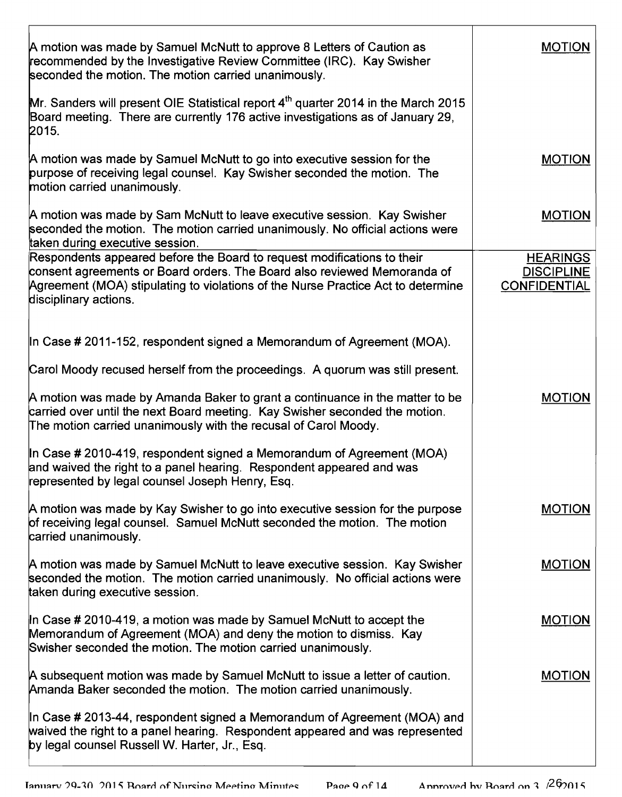| A motion was made by Samuel McNutt to approve 8 Letters of Caution as<br>recommended by the Investigative Review Cornmittee (IRC). Kay Swisher<br>seconded the motion. The motion carried unanimously.                                                           | <b>MOTION</b>                                               |
|------------------------------------------------------------------------------------------------------------------------------------------------------------------------------------------------------------------------------------------------------------------|-------------------------------------------------------------|
| Mr. Sanders will present OIE Statistical report $4th$ quarter 2014 in the March 2015<br>Board meeting. There are currently 176 active investigations as of January 29,<br>2015.                                                                                  |                                                             |
| A motion was made by Samuel McNutt to go into executive session for the<br>purpose of receiving legal counsel. Kay Swisher seconded the motion. The<br>motion carried unanimously.                                                                               | <b>MOTION</b>                                               |
| A motion was made by Sam McNutt to leave executive session. Kay Swisher<br>seconded the motion. The motion carried unanimously. No official actions were<br>taken during executive session.                                                                      | <b>MOTION</b>                                               |
| Respondents appeared before the Board to request modifications to their<br>consent agreements or Board orders. The Board also reviewed Memoranda of<br>Agreement (MOA) stipulating to violations of the Nurse Practice Act to determine<br>disciplinary actions. | <b>HEARINGS</b><br><b>DISCIPLINE</b><br><b>CONFIDENTIAL</b> |
| In Case # 2011-152, respondent signed a Memorandum of Agreement (MOA).                                                                                                                                                                                           |                                                             |
| Carol Moody recused herself from the proceedings. A quorum was still present.                                                                                                                                                                                    |                                                             |
| A motion was made by Amanda Baker to grant a continuance in the matter to be<br>carried over until the next Board meeting. Kay Swisher seconded the motion.<br>The motion carried unanimously with the recusal of Carol Moody.                                   | <b>MOTION</b>                                               |
| In Case # 2010-419, respondent signed a Memorandum of Agreement (MOA)<br>and waived the right to a panel hearing. Respondent appeared and was<br>represented by legal counsel Joseph Henry, Esq.                                                                 |                                                             |
| A motion was made by Kay Swisher to go into executive session for the purpose<br>of receiving legal counsel. Samuel McNutt seconded the motion. The motion<br>carried unanimously.                                                                               | <b>MOTION</b>                                               |
| A motion was made by Samuel McNutt to leave executive session. Kay Swisher<br>seconded the motion. The motion carried unanimously. No official actions were<br>taken during executive session.                                                                   | <b>MOTION</b>                                               |
| In Case # 2010-419, a motion was made by Samuel McNutt to accept the<br>Memorandum of Agreement (MOA) and deny the motion to dismiss. Kay<br>Swisher seconded the motion. The motion carried unanimously.                                                        | <b>MOTION</b>                                               |
| A subsequent motion was made by Samuel McNutt to issue a letter of caution.<br>Amanda Baker seconded the motion. The motion carried unanimously.                                                                                                                 | <b>MOTION</b>                                               |
| In Case # 2013-44, respondent signed a Memorandum of Agreement (MOA) and<br>waived the right to a panel hearing. Respondent appeared and was represented<br>by legal counsel Russell W. Harter, Jr., Esq.                                                        |                                                             |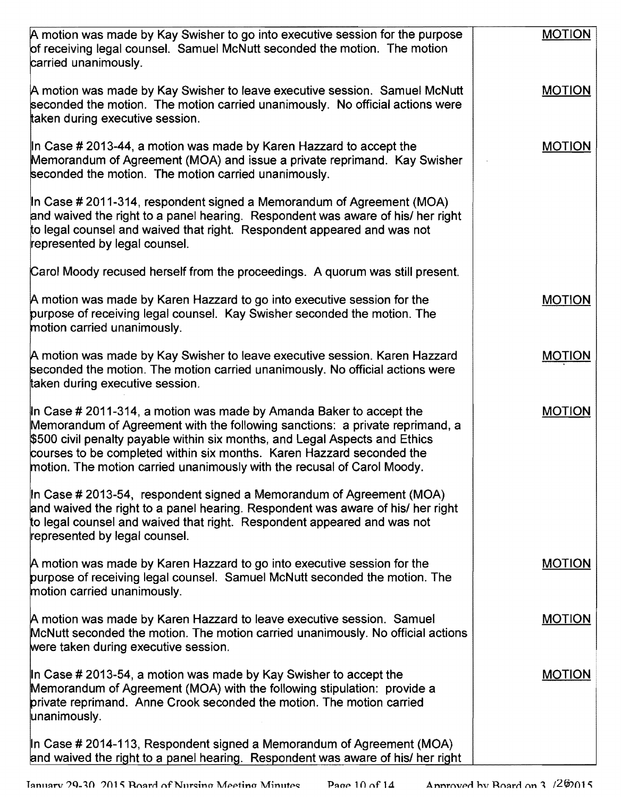| A motion was made by Kay Swisher to go into executive session for the purpose<br>of receiving legal counsel. Samuel McNutt seconded the motion. The motion<br>carried unanimously.                                                                                                                                                                                                     | <b>MOTION</b> |
|----------------------------------------------------------------------------------------------------------------------------------------------------------------------------------------------------------------------------------------------------------------------------------------------------------------------------------------------------------------------------------------|---------------|
| A motion was made by Kay Swisher to leave executive session. Samuel McNutt<br>seconded the motion. The motion carried unanimously. No official actions were<br>taken during executive session.                                                                                                                                                                                         | <b>MOTION</b> |
| In Case # 2013-44, a motion was made by Karen Hazzard to accept the<br>Memorandum of Agreement (MOA) and issue a private reprimand. Kay Swisher<br>seconded the motion. The motion carried unanimously.                                                                                                                                                                                | <b>MOTION</b> |
| In Case # 2011-314, respondent signed a Memorandum of Agreement (MOA)<br>and waived the right to a panel hearing. Respondent was aware of his/ her right<br>to legal counsel and waived that right. Respondent appeared and was not<br>represented by legal counsel.                                                                                                                   |               |
| Carol Moody recused herself from the proceedings. A quorum was still present.                                                                                                                                                                                                                                                                                                          |               |
| A motion was made by Karen Hazzard to go into executive session for the<br>purpose of receiving legal counsel. Kay Swisher seconded the motion. The<br>motion carried unanimously.                                                                                                                                                                                                     | <b>MOTION</b> |
| A motion was made by Kay Swisher to leave executive session. Karen Hazzard<br>seconded the motion. The motion carried unanimously. No official actions were<br>taken during executive session.                                                                                                                                                                                         | <b>MOTION</b> |
| In Case # 2011-314, a motion was made by Amanda Baker to accept the<br>Memorandum of Agreement with the following sanctions: a private reprimand, a<br>\$500 civil penalty payable within six months, and Legal Aspects and Ethics<br>courses to be completed within six months. Karen Hazzard seconded the<br>motion. The motion carried unanimously with the recusal of Carol Moody. | <b>MOTION</b> |
| In Case # 2013-54, respondent signed a Memorandum of Agreement (MOA)<br>and waived the right to a panel hearing. Respondent was aware of his/ her right<br>to legal counsel and waived that right. Respondent appeared and was not<br>represented by legal counsel.                                                                                                                    |               |
| A motion was made by Karen Hazzard to go into executive session for the<br>purpose of receiving legal counsel. Samuel McNutt seconded the motion. The<br>motion carried unanimously.                                                                                                                                                                                                   | <b>MOTION</b> |
| A motion was made by Karen Hazzard to leave executive session. Samuel<br>McNutt seconded the motion. The motion carried unanimously. No official actions<br>were taken during executive session.                                                                                                                                                                                       | <b>MOTION</b> |
| In Case # 2013-54, a motion was made by Kay Swisher to accept the<br>Memorandum of Agreement (MOA) with the following stipulation: provide a<br>private reprimand. Anne Crook seconded the motion. The motion carried<br>unanimously.                                                                                                                                                  | <b>MOTION</b> |
| In Case # 2014-113, Respondent signed a Memorandum of Agreement (MOA)<br>and waived the right to a panel hearing. Respondent was aware of his/ her right                                                                                                                                                                                                                               |               |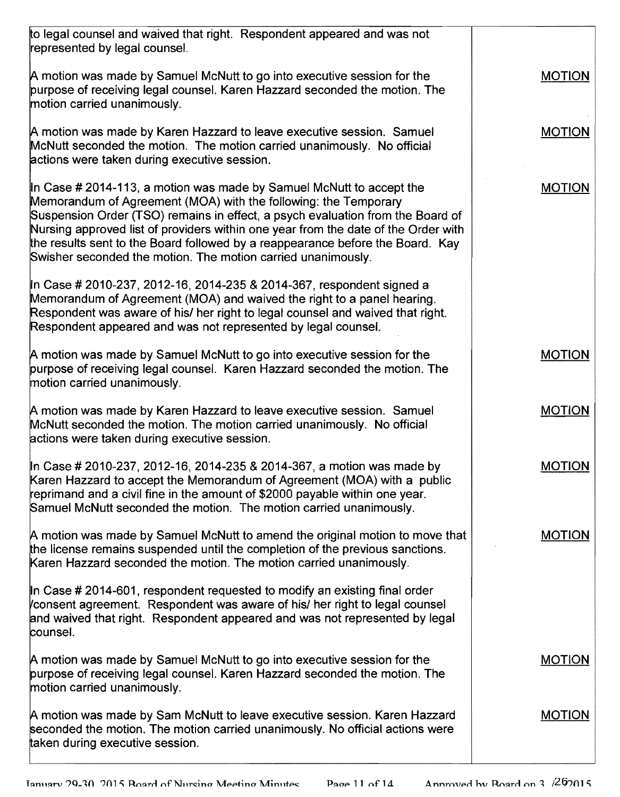| to legal counsel and waived that right. Respondent appeared and was not<br>represented by legal counsel.                                                                                                                                                                                                                                                                                                                                                          |               |
|-------------------------------------------------------------------------------------------------------------------------------------------------------------------------------------------------------------------------------------------------------------------------------------------------------------------------------------------------------------------------------------------------------------------------------------------------------------------|---------------|
| A motion was made by Samuel McNutt to go into executive session for the<br>purpose of receiving legal counsel. Karen Hazzard seconded the motion. The<br>motion carried unanimously.                                                                                                                                                                                                                                                                              | <b>MOTION</b> |
| A motion was made by Karen Hazzard to leave executive session. Samuel<br>McNutt seconded the motion. The motion carried unanimously. No official<br>actions were taken during executive session.                                                                                                                                                                                                                                                                  | <b>MOTION</b> |
| In Case # 2014-113, a motion was made by Samuel McNutt to accept the<br>Memorandum of Agreement (MOA) with the following: the Temporary<br>Suspension Order (TSO) remains in effect, a psych evaluation from the Board of<br>Nursing approved list of providers within one year from the date of the Order with<br>the results sent to the Board followed by a reappearance before the Board. Kay<br>Swisher seconded the motion. The motion carried unanimously. | <b>MOTION</b> |
| In Case # 2010-237, 2012-16, 2014-235 & 2014-367, respondent signed a<br>Memorandum of Agreement (MOA) and waived the right to a panel hearing.<br>Respondent was aware of his/ her right to legal counsel and waived that right.<br>Respondent appeared and was not represented by legal counsel.                                                                                                                                                                |               |
| A motion was made by Samuel McNutt to go into executive session for the<br>purpose of receiving legal counsel. Karen Hazzard seconded the motion. The<br>motion carried unanimously.                                                                                                                                                                                                                                                                              | <b>MOTION</b> |
| A motion was made by Karen Hazzard to leave executive session. Samuel<br>McNutt seconded the motion. The motion carried unanimously. No official<br>actions were taken during executive session.                                                                                                                                                                                                                                                                  | <b>MOTION</b> |
| In Case # 2010-237, 2012-16, 2014-235 & 2014-367, a motion was made by<br>Karen Hazzard to accept the Memorandum of Agreement (MOA) with a public<br>reprimand and a civil fine in the amount of \$2000 payable within one year.<br>Samuel McNutt seconded the motion. The motion carried unanimously.                                                                                                                                                            | <b>MOTION</b> |
| A motion was made by Samuel McNutt to amend the original motion to move that<br>the license remains suspended until the completion of the previous sanctions.<br>Karen Hazzard seconded the motion. The motion carried unanimously.                                                                                                                                                                                                                               | <b>MOTION</b> |
| In Case # 2014-601, respondent requested to modify an existing final order<br>consent agreement. Respondent was aware of his/ her right to legal counsel<br>and waived that right. Respondent appeared and was not represented by legal<br>counsel.                                                                                                                                                                                                               |               |
| A motion was made by Samuel McNutt to go into executive session for the<br>purpose of receiving legal counsel. Karen Hazzard seconded the motion. The<br>motion carried unanimously.                                                                                                                                                                                                                                                                              | <b>MOTION</b> |
| A motion was made by Sam McNutt to leave executive session. Karen Hazzard<br>seconded the motion. The motion carried unanimously. No official actions were<br>taken during executive session.                                                                                                                                                                                                                                                                     | <b>MOTION</b> |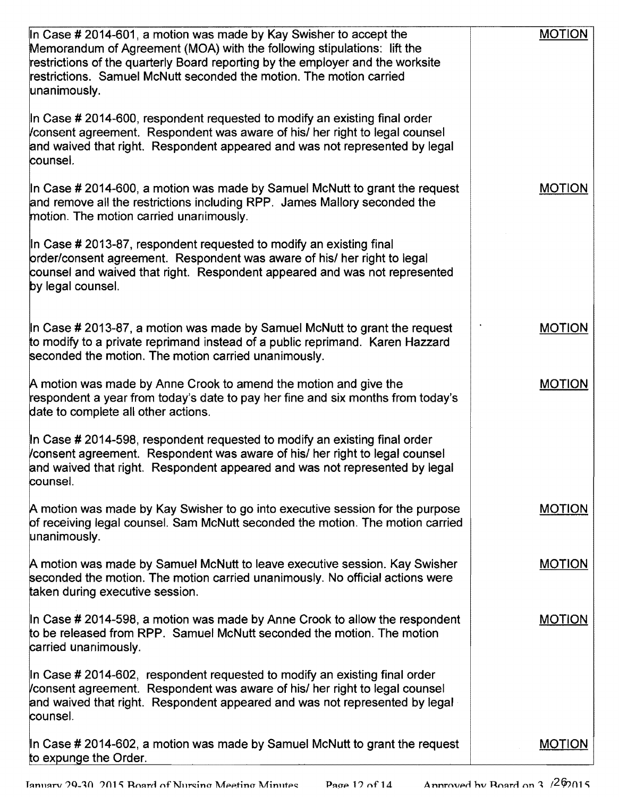| In Case # 2014-601, a motion was made by Kay Swisher to accept the<br>Memorandum of Agreement (MOA) with the following stipulations: lift the<br>restrictions of the quarterly Board reporting by the employer and the worksite<br>restrictions. Samuel McNutt seconded the motion. The motion carried<br>unanimously. | <b>MOTION</b> |
|------------------------------------------------------------------------------------------------------------------------------------------------------------------------------------------------------------------------------------------------------------------------------------------------------------------------|---------------|
| In Case # 2014-600, respondent requested to modify an existing final order<br>Consent agreement. Respondent was aware of his/ her right to legal counsel<br>and waived that right. Respondent appeared and was not represented by legal<br>counsel.                                                                    |               |
| In Case # 2014-600, a motion was made by Samuel McNutt to grant the request<br>and remove all the restrictions including RPP. James Mallory seconded the<br>motion. The motion carried unarimously.                                                                                                                    | <b>MOTION</b> |
| In Case # 2013-87, respondent requested to modify an existing final<br>order/consent agreement. Respondent was aware of his/ her right to legal<br>counsel and waived that right. Respondent appeared and was not represented<br>by legal counsel.                                                                     |               |
| In Case $\#$ 2013-87, a motion was made by Samuel McNutt to grant the request<br>to modify to a private reprimand instead of a public reprimand. Karen Hazzard<br>seconded the motion. The motion carried unanimously.                                                                                                 | <b>MOTION</b> |
| A motion was made by Anne Crook to amend the motion and give the<br>respondent a year from today's date to pay her fine and six months from today's<br>date to complete all other actions.                                                                                                                             | <b>MOTION</b> |
| In Case # 2014-598, respondent requested to modify an existing final order<br>Consent agreement. Respondent was aware of his/ her right to legal counsel<br>and waived that right. Respondent appeared and was not represented by legal<br>counsel.                                                                    |               |
| A motion was made by Kay Swisher to go into executive session for the purpose<br>of receiving legal counsel. Sam McNutt seconded the motion. The motion carried<br>unanimously.                                                                                                                                        | <b>MOTION</b> |
| A motion was made by Samuel McNutt to leave executive session. Kay Swisher<br>seconded the motion. The motion carried unanimously. No official actions were<br>taken during executive session.                                                                                                                         | <b>MOTION</b> |
| In Case $\#$ 2014-598, a motion was made by Anne Crook to allow the respondent<br>to be released from RPP. Samuel McNutt seconded the motion. The motion<br>carried unanimously.                                                                                                                                       | <b>MOTION</b> |
| In Case $\#$ 2014-602, respondent requested to modify an existing final order<br>consent agreement. Respondent was aware of his/ her right to legal counsel<br>and waived that right. Respondent appeared and was not represented by legal<br>counsel.                                                                 |               |
| In Case # 2014-602, a motion was made by Samuel McNutt to grant the request<br>to expunge the Order.                                                                                                                                                                                                                   | <b>MOTION</b> |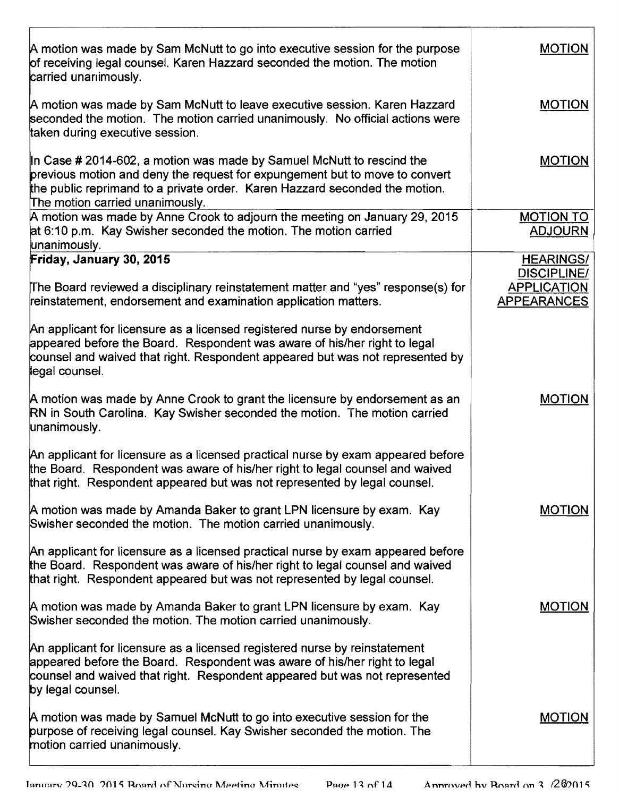| A motion was made by Sam McNutt to go into executive session for the purpose<br>of receiving legal counsel. Karen Hazzard seconded the motion. The motion<br>carried unanimously.                                                                                      | <b>MOTION</b>                                                  |
|------------------------------------------------------------------------------------------------------------------------------------------------------------------------------------------------------------------------------------------------------------------------|----------------------------------------------------------------|
| A motion was made by Sam McNutt to leave executive session. Karen Hazzard<br>seconded the motion. The motion carried unanimously. No official actions were<br>taken during executive session.                                                                          | <b>MOTION</b>                                                  |
| In Case # 2014-602, a motion was made by Samuel McNutt to rescind the<br>previous motion and deny the request for expungement but to move to convert<br>the public reprimand to a private order. Karen Hazzard seconded the motion.<br>The motion carried unarimously. | <b>MOTION</b>                                                  |
| A motion was made by Anne Crook to adjourn the meeting on January 29, 2015<br>at 6:10 p.m. Kay Swisher seconded the motion. The motion carried<br>unanimously.                                                                                                         | <b>MOTION TO</b><br><b>ADJOURN</b>                             |
| Friday, January 30, 2015                                                                                                                                                                                                                                               | <b>HEARINGS/</b>                                               |
| The Board reviewed a disciplinary reinstatement matter and "yes" response(s) for<br>reinstatement, endorsement and examination application matters.                                                                                                                    | <b>DISCIPLINE/</b><br><b>APPLICATION</b><br><b>APPEARANCES</b> |
| An applicant for licensure as a licensed registered nurse by endorsement<br>appeared before the Board. Respondent was aware of his/her right to legal<br>counsel and waived that right. Respondent appeared but was not represented by<br>legal counsel.               |                                                                |
| A motion was made by Anne Crook to grant the licensure by endorsement as an<br>RN in South Carolina. Kay Swisher seconded the motion. The motion carried<br>unanimously.                                                                                               | <b>MOTION</b>                                                  |
| An applicant for licensure as a licensed practical nurse by exam appeared before<br>the Board. Respondent was aware of his/her right to legal counsel and waived<br>that right. Respondent appeared but was not represented by legal counsel.                          |                                                                |
| A motion was made by Amanda Baker to grant LPN licensure by exam. Kay<br>Swisher seconded the motion. The motion carried unanimously.                                                                                                                                  | <b>MOTION</b>                                                  |
| An applicant for licensure as a licensed practical nurse by exam appeared before<br>the Board. Respondent was aware of his/her right to legal counsel and waived<br>that right. Respondent appeared but was not represented by legal counsel.                          |                                                                |
| A motion was made by Amanda Baker to grant LPN licensure by exam. Kay<br>Swisher seconded the motion. The motion carried unanimously.                                                                                                                                  | <b>MOTION</b>                                                  |
| An applicant for licensure as a licensed registered nurse by reinstatement<br>appeared before the Board. Respondent was aware of his/her right to legal<br>counsel and waived that right. Respondent appeared but was not represented<br>by legal counsel.             |                                                                |
| A motion was made by Samuel McNutt to go into executive session for the<br>purpose of receiving legal counsel. Kay Swisher seconded the motion. The<br>motion carried unanimously.                                                                                     | <b>MOTION</b>                                                  |